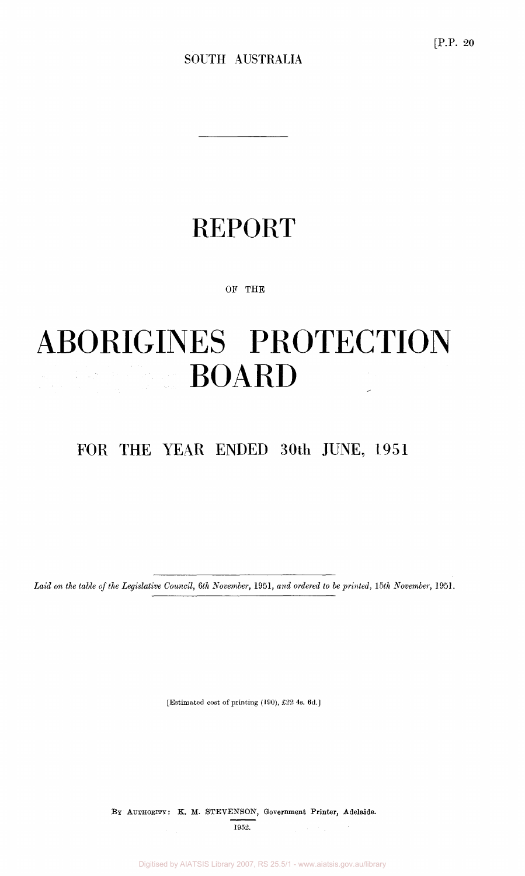# REPORT

OF THE

## ABORIGINES PROTECTION **BOARD**  $\label{eq:1} \begin{split} \mathcal{H}_{\text{eff}} &= \frac{1}{2} \left( \frac{1}{2} \frac{1}{\sqrt{2}} \frac{1}{\sqrt{2}} \right) \left( \frac{1}{2} \frac{1}{\sqrt{2}} \right) \,, \\ \mathcal{H}_{\text{eff}} &= \frac{1}{2} \left( \frac{1}{2} \frac{1}{\sqrt{2}} \right) \, \mathcal{H}_{\text{eff}} &= \frac{1}{2} \left( \frac{1}{2} \frac{1}{\sqrt{2}} \right) \,, \\ \mathcal{H}_{\text{eff}} &= \frac{1}{2} \left( \frac{1}{2} \frac{1}{\sqrt{2}} \right$

FOR THE YEAR ENDED 30th JUNE, 1951

*Laid on the table of the Legislative Council, 6th November,* 1951, *and ordered to be printed, 15th November,* 1951.

[Estimated cost of printing (190), £22 4s. 6d.]

BY AUTHORITY: K. M. STEVENSON, Government Printer, Adelaide. 1952.

Digitised by AIATSIS Library 2007, RS 25.5/1 - www.aiatsis.gov.au/library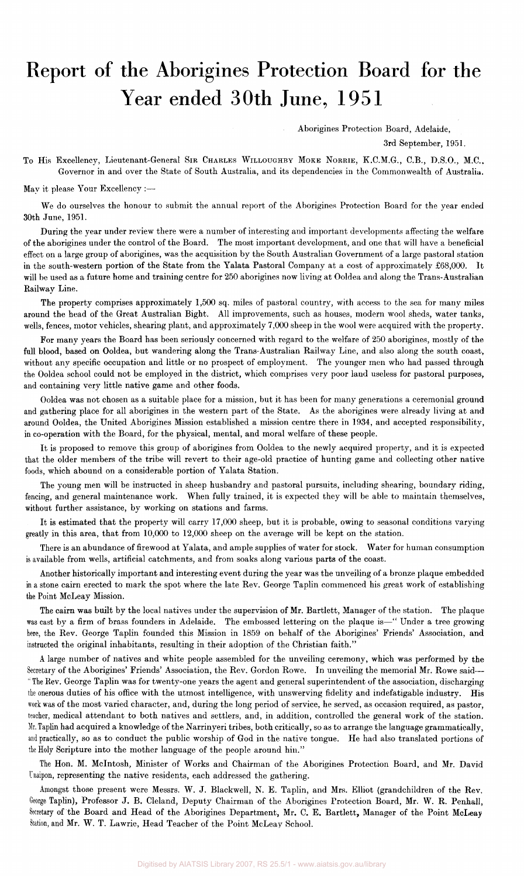## Report of the Aborigines Protection Board for the Year ended 30th June, 1951

Aborigines Protection Board, Adelaide,

3rd September, 1951.

To His Excellency, Lieutenant-General SIR CHARLES WILLOUGHBY MOKE NORRIE, K.C.M.G., C.B., D.S.O., M.C., Governor in and over the State of South Australia, and its dependencies in the Commonwealth of Australia.

May it please Your Excellency :—

We do ourselves the honour to submit the annual report of the Aborigines Protection Board for the year ended 30th June, 1951.

During the year under review there were a number of interesting and important developments affecting the welfare of the aborigines under the control of the Board. The most important development, and one that will have a beneficial effect on a large group of aborigines, was the acquisition by the South Australian Government of a large pastoral station in the south-western portion of the State from the Yalata Pastoral Company at a cost of approximately £68,000. It will be used as a future home and training centre for 250 aborigines now living at Ooldea and along the Trans-Australian Railway Line.

The property comprises approximately 1,500 sq. miles of pastoral country, with access to the sea for many miles around the head of the Great Australian Bight. All improvements, such as houses, modern wool sheds, water tanks, wells, fences, motor vehicles, shearing plant, and approximately 7,000 sheep in the wool were acquired with the property.

For many years the Board has been seriously concerned with regard to the welfare of 250 aborigines, mostly of the full blood, based on Ooldea, but wandering along the Trans-Australian Railway Line, and also along the south coast, without any specific occupation and little or no prospect of employment. The younger men who had passed through the Ooldea school could not be employed in the district, which comprises very poor land useless for pastoral purposes, and containing very little native game and other foods.

Ooldea was not chosen as a suitable place for a mission, but it has been for many generations a ceremonial ground and gathering place for all aborigines in the western part of the State. As the aborigines were already living at and around Ooldea, the United Aborigines Mission established a mission centre there in 1934, and accepted responsibility, in co-operation with the Board, for the physical, mental, and moral welfare of these people.

It is proposed to remove this group of aborigines from Ooldea to the newly acquired property, and it is expected that the older members of the tribe will revert to their age-old practice of hunting game and collecting other native foods, which abound on a considerable portion of Yalata Station.

The young men will be instructed in sheep husbandry and pastoral pursuits, including shearing, boundary riding, fencing, and general maintenance work. When fully trained, it is expected they will be able to maintain themselves, without further assistance, by working on stations and farms.

It is estimated that the property will carry 17,000 sheep, but it is probable, owing to seasonal conditions varying greatly in this area, that from 10,000 to 12,000 sheep on the average will be kept on the station.

There is an abundance of firewood at Yalata, and ample supplies of water for stock. Water for human consumption is available from wells, artificial catchments, and from soaks along various parts of the coast.

Another historically important and interesting event during the year was the unveiling of a bronze plaque embedded in a stone cairn erected to mark the spot where the late Rev. George Taplin commenced his great work of establishing the Point McLeay Mission.

The cairn was built by the local natives under the supervision of Mr. Bartlett, Manager of the station. The plaque was cast by a firm of brass founders in Adelaide. The embossed lettering on the plaque is—" Under a tree growing here, the Rev. George Taplin founded this Mission in 1859 on behalf of the Aborigines' Friends' Association, and instructed the original inhabitants, resulting in their adoption of the Christian faith."

A large number of natives and white people assembled for the unveiling ceremony, which was performed by the Secretary of the Aborigines' Friends' Association, the Rev. Gordon Rowe. In unveiling the memorial Mr. Rowe said— " The Rev. George Taplin was for twenty-one years the agent and general superintendent of the association, discharging the onerous duties of his office with the utmost intelligence, with unswerving fidelity and indefatigable industry. His work was of the most varied character, and, during the long period of service, he served, as occasion required, as pastor, teacher, medical attendant to both natives and settlers, and, in addition, controlled the general work of the station. Mr. Taplin had acquired a knowledge of the Narrinyeri tribes, both critically, so as to arrange the language grammatically, and practically, so as to conduct the public worship of God in the native tongue. He had also translated portions of the Holy Scripture into the mother language of the people around him."

The Hon. M. Mcintosh, Minister of Works and Chairman of the Aborigines Protection Board, and Mr. David Unaipon, representing the native residents, each addressed the gathering.

Amongst those present were Messrs. W. J. Blackwell, N. E. Taplin, and Mrs. Elliot (grandchildren of the Rev. George Taplin), Professor J. B. Cleland, Deputy Chairman of the Aborigines Protection Board, Mr. W. R. Penhall, Secretary of the Board and Head of the Aborigines Department, Mr. C. E. Bartlett, Manager of the Point McLeay Station, and Mr. W. T. Lawrie, Head Teacher of the Point McLeay School.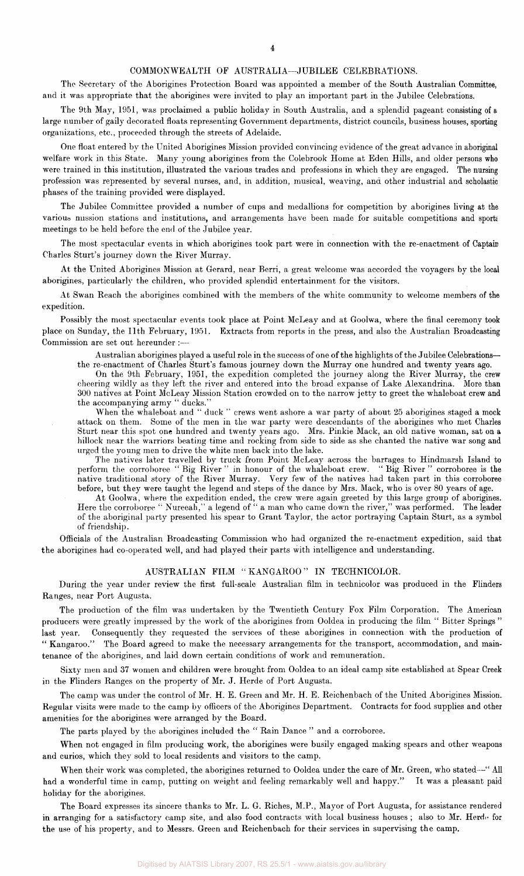## COMMONWEALTH OF AUSTRALIA—JUBILEE CELEBRATIONS.

The Secretary of the Aborigines Protection Board was appointed a member of the South Australian Committee; and it was appropriate that the aborigines were invited to play an important part in the Jubilee Celebrations.

The 9th May, 1951, was proclaimed a public holiday in South Australia, and a splendid pageant consisting of a large number of gaily decorated floats representing Government departments, district councils, business houses, sporting organizations, etc., proceeded through the streets of Adelaide.

One float entered by the United Aborigines Mission provided convincing evidence of the great advance in aboriginal welfare work in this State. Many young aborigines from the Colebrook Home at Eden Hills, and older persons who were trained in this institution, illustrated the various trades and professions in which they are engaged. The nursing profession was represented by several nurses, and, in addition, musical, weaving, and other industrial and scholastic phases of the training provided were displayed.

The Jubilee Committee provided a number of cups and medallions for competition by aborigines living at the various mission stations and institutions, and arrangements have been made for suitable competitions and sports meetings to be held before the end of the Jubilee year.

The most spectacular events in which aborigines took part were in connection with the re-enactment of Captain Charles Sturt's journey down the River Murray.

At the United Aborigines Mission at Gerard, near Berri, a great welcome was accorded the voyagers by the local aborigines, particularly the children, who provided splendid entertainment for the visitors.

At Swan Reach the aborigines combined with the members of the white community to welcome members of the expedition.

Possibly the most spectacular events took place at Point McLeay and at Goolwa, where the final ceremony took place on Sunday, the 11th February, 1951. Extracts from reports in the press, and also the Australian Broadcasting Commission are set out hereunder :—

Australian aborigines played a useful role in the success of one of the highlights of the Jubilee Celebrations the re-enactment of Charles Sturt's famous journey down the Murray one hundred and twenty years ago.

On the 9th February, 1951, the expedition completed the journey along the River Murray, the crew cheering wildly as they left the river and entered into the broad expanse of Lake Alexandrina. More than 300 natives at Point McLeay Mission Station crowded on to the narrow jetty to greet the whaleboat crew and the accompanying army " ducks."

When the whaleboat and " duck " crews went ashore a war party of about 25 aborigines staged a mock attack on them. Some of the men in the war party were descendants of the aborigines who met Charles Sturt near this spot one hundred and twenty years ago. Mrs. Pinkie Mack, an old native woman, sat on a hillock near the warriors beating time and rocking from side to side as she chanted the native war song and urged the young men to drive the white men back into the lake.

The natives later travelled by truck from Point McLeay across the barrages to Hindmarsh Island to perform the corroboree " Big River " in honour of the whaleboat crew. " Big River " corroboree is the native traditional story of the River Murray. Very few of the natives had taken part in this corroboree before, but they were taught the legend and steps of the dance by Mrs. Mack, who is over 80 years of age.

At Goolwa, where the expedition ended, the crew were again greeted by this large group of aborigines. Here the corroboree " Nureeah," a legend of " a man who came down the river," was performed. The leader of the aboriginal party presented his spear to Grant Taylor, the actor portraying Captain Sturt, as a symbol of friendship.

Officials of the Australian Broadcasting Commission who had organized the re-enactment expedition, said that the aborigines had co-operated well, and had played their parts with intelligence and understanding.

## AUSTRALIAN FILM "KANGAROO" IN TECHNICOLOR.

During the year under review the first full-scale Australian film in technicolor was produced in the Flinders Ranges, near Port Augusta.

The production of the film was undertaken by the Twentieth Century Fox Film Corporation. The American producers were greatly impressed by the work of the aborigines from Ooldea in producing the film " Bitter Springs " last year. Consequently they requested the services of these aborigines in connection with the production of " Kangaroo." The Board agreed to make the necessary arrangements for the transport, accommodation, and maintenance of the aborigines, and laid down certain conditions of work and remuneration.

Sixty men and 37 women and children were brought from Ooldea to an ideal camp site established at Spear Creek in the Flinders Ranges on the property of Mr. J. Herde of Port Augusta.

The camp was under the control of Mr. H. E. Green and Mr. H. E. Reichenbach of the United Aborigines Mission. Regular visits were made to the camp by officers of the Aborigines Department. Contracts for food supplies and other amenities for the aborigines were arranged by the Board.

The parts played by the aborigines included the " Rain Dance " and a corroboree.

When not engaged in film producing work, the aborigines were busily engaged making spears and other weapons and curios, which they sold to local residents and visitors to the camp.

When their work was completed, the aborigines returned to Ooldea under the care of Mr. Green, who stated—" All had a wonderful time in camp, putting on weight and feeling remarkably well and happy." It was a pleasant paid holiday for the aborigines.

The Board expresses its sincere thanks to Mr. L. G. Riches, M.P., Mayor of Port Augusta, for assistance rendered in arranging for a satisfactory camp site, and also food contracts with local business houses ; also to Mr. Herde for the use of his property, and to Messrs. Green and Reichenbach for their services in supervising the camp.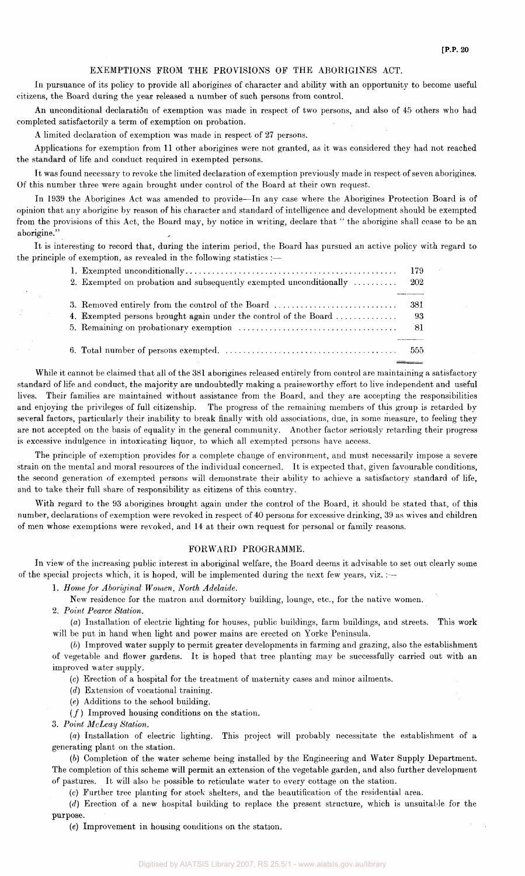## EXEMPTIONS FROM THE PROVISIONS OP THE ABORIGINES ACT.

In pursuance of its policy to provide all aborigines of character and ability with an opportunity to become useful citizens, the Board during the year released a number of such persons from control.

An unconditional declaration of exemption was made in respect of two persons, and also of 45 others who had completed satisfactorily a term of exemption on probation.

A limited declaration of exemption was made in respect of 27 persons.

Applications for exemption from 11 other aborigines were not granted, as it was considered they had not reached the standard of life and conduct required in exempted persons.

It was found necessary to revoke the limited declaration of exemption previously made in respect of seven aborigines. Of this number three were again brought under control of the Board at their own request.

In 1939 the Aborigines Act was amended to provide—In any case where the Aborigines Protection Board is of opinion that any aborigine by reason of his character and standard of intelligence and development should be exempted from the provisions of this Act, the Board may, by notice in writing, declare that " the aborigine shall cease to be an aborigine."

It is interesting to record that, during the interim period, the Board has pursued an active policy with regard to the principle of exemption, as revealed in the following statistics :—

|                                                                                  | 179  |
|----------------------------------------------------------------------------------|------|
| 2. Exempted on probation and subsequently exempted unconditionally $\dots \dots$ | 202  |
|                                                                                  |      |
| 3. Removed entirely from the control of the Board                                | -381 |
| 4. Exempted persons brought again under the control of the Board                 | - 93 |
|                                                                                  | -81  |
|                                                                                  |      |
|                                                                                  |      |

While it cannot be claimed that all of the 381 aborigines released entirely from control are maintaining a satisfactory standard of life and conduct, the majority are undoubtedly making a praiseworthy effort to live independent and useful lives. Their families are maintained without assistance from the Board, and they are accepting the responsibilities and enjoying the privileges of full citizenship. The progress of the remaining members of this group is retarded by several factors, particularly their inability to break finally with old associations, due, in some measure, to feeling they are not accepted on the basis of equality in the general community. Another factor seriously retarding their progress is excessive indulgence in intoxicating liquor, to which all exempted persons have access.

The principle of exemption provides for a complete change of environment, and must necessarily impose a severe strain on the mental and moral resources of the individual concerned. It is expected that, given favourable conditions, the second generation of exempted persons will demonstrate their ability to achieve a satisfactory standard of life, and to take their full share of responsibility as citizens of this country.

With regard to the 93 aborigines brought again under the control of the Board, it should be stated that, of this number, declarations of exemption were revoked in respect of 40 persons for excessive drinking, 39 as wives and children of men whose exemptions were revoked, and 14 at their own request for personal or family reasons.

#### FORWARD PROGRAMME.

In view of the increasing public interest in aboriginal welfare, the Board deems it advisable to set out clearly some of the special projects which, it is hoped, will be implemented during the next few years, viz. :—

1. *Home for Aboriginal Women, North Adelaide.* 

New residence for the matron and dormitory building, lounge, etc., for the native women.

2. *Point Pearce Station.* 

*(a)* Installation of electric lighting for houses, public buildings, farm buildings, and streets. This work will be put in hand when light and power mains are erected on Yorke Peninsula.

*(b)* Improved water supply to permit greater developments in farming and grazing, also the establishment of vegetable and flower gardens. It is hoped that tree planting may be successfully carried out with an improved water supply.

(c) Erection of a hospital for the treatment of maternity cases and minor ailments.

*(d)* Extension of vocational training.

(e) Additions to the school building.

 $(f)$  Improved housing conditions on the station.

3. *Point McLeay Station.* 

*(a)* Installation of electric lighting. This project will probably necessitate the establishment of a generating plant on the station.

*(b)* Completion of the water scheme being installed by the Engineering and Water Supply Department. The completion of this scheme will permit an extension of the vegetable garden, and also further development of pastures. It will also be possible to reticulate water to every cottage on the station.

(c) Further tree planting for stock shelters, and the beautification of the residential area.

*(d)* Erection of a new hospital building to replace the present structure, which is unsuitable for the purpose.

(e) Improvement in housing conditions on the station.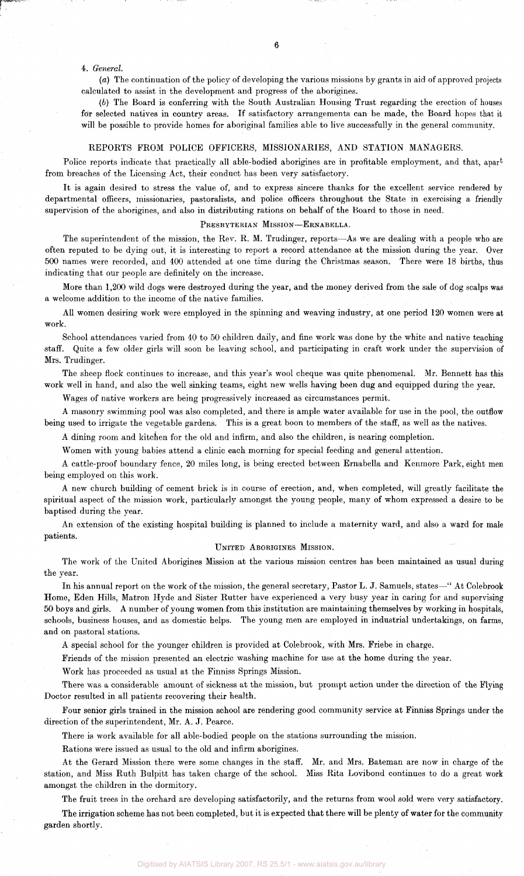#### 4. *General.*

*(a)* The continuation of the policy of developing the various missions by grants in aid of approved projects calculated to assist in the development and progress of the aborigines.

*(b)* The Board is conferring with the South Australian Housing Trust regarding the erection of houses for selected natives in country areas. If satisfactory arrangements can be made, the Board hopes that it will be possible to provide homes for aboriginal families able to live successfully in the general community.

#### REPORTS FROM POLICE OFFICERS, MISSIONARIES, AND STATION MANAGERS.

Police reports indicate that practically all able-bodied aborigines are in profitable employment, and that, apart from breaches of the Licensing Act, their conduct has been very satisfactory.

It is again desired to stress the value of, and to express sincere thanks for the excellent service rendered by departmental officers, missionaries, pastoralists, and police officers throughout the State in exercising a friendly supervision of the aborigines, and also in distributing rations on behalf of the Board to those in need.

#### PRESBYTERIAN MISSION—ERNABELLA.

The superintendent of the mission, the Rev. R. M. Trudinger, reports—As we are dealing with a people who are often reputed to be dying out, it is interesting to report a record attendance at the mission during the year. Over 500 names were recorded, and 400 attended at one time during the Christmas season. There were 18 births, thus indicating that our people are definitely on the increase.

More than 1,200 wild dogs were destroyed during the year, and the money derived from the sale of dog scalps was a welcome addition to the income of the native families.

All women desiring work were employed in the spinning and weaving industry, at one period 120 women were at work.

School attendances varied from 40 to 50 children daily, and fine work was done by the white and native teaching staff. Quite a few older girls will soon be leaving school, and participating in craft work under the supervision of Mrs. Trudinger.

The sheep flock continues to increase, and this year's wool cheque was quite phenomenal. Mr. Bennett has this work well in hand, and also the well sinking teams, eight new wells having been dug and equipped during the year.

Wages of native workers are being progressively increased as circumstances permit.

A masonry swimming pool was also completed, and there is ample water available for use in the pool, the outflow being used to irrigate the vegetable gardens. This is a great boon to members of the staff, as well as the natives.

A dining room and kitchen for the old and infirm, and also the children, is nearing completion.

Women with young babies attend a clinic each morning for special feeding and general attention.

A cattle-proof boundary fence, 20 miles long, is being erected between Ernabella and Kenmore Park, eight men being employed on this work.

A new church building of cement brick is in course of erection, and, when completed, will greatly facilitate the spiritual aspect of the mission work, particularly amongst the young people, many of whom expressed a desire to be baptised during the year.

An extension of the existing hospital building is planned to include a maternity ward, and also a ward for male patients.

### UNITED ABORIGINES MISSION.

The work of the United Aborigines Mission at the various mission centres has been maintained as usual during the year.

In his annual report on the work of the mission, the general secretary, Pastor L. J. Samuels, states—" At Colebrook Home, Eden Hills, Matron Hyde and Sister Rutter have experienced a very busy year in caring for and supervising 50 boys and girls. A number of young women from this institution are maintaining themselves by working in hospitals, schools, business houses, and as domestic helps. The young men are employed in industrial undertakings, on farms, and on pastoral stations.

A special school for the younger children is provided at Colebrook, with Mrs. Friebe in charge.

Friends of the mission presented an electric washing machine for use at the home during the year.

Work has proceeded as usual at the Finniss Springs Mission.

There was a considerable amount of sickness at the mission, but prompt action under the direction of the Flying Doctor resulted in all patients recovering their health.

Four senior girls trained in the mission school are rendering good community service at Finniss Springs under the direction of the superintendent, Mr. A. J. Pearce.

There is work available for all able-bodied people on the stations surrounding the mission.

Rations were issued as usual to the old and infirm aborigines.

garden shortly.

At the Gerard Mission there were some changes in the staff. Mr. and Mrs. Bateman are now in charge of the station, and Miss Ruth Bulpitt has taken charge of the school. Miss Rita Lovibond continues to do a great work amongst the children in the dormitory.

The fruit trees in the orchard are developing satisfactorily, and the returns from wool sold were very satisfactory. The irrigation scheme has not been completed, but it is expected that there will be plenty of water for the community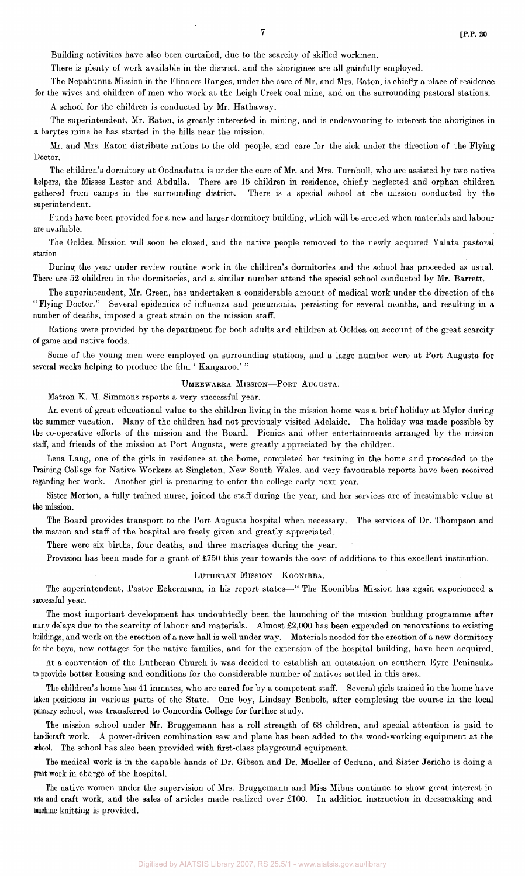Building activities have also been curtailed, due to the scarcity of skilled workmen.

There is plenty of work available in the district, and the aborigines are all gainfully employed.

The Nepabunna Mission in the Flinders Ranges, under the care of Mr. and Mrs. Eaton, is chiefly a place of residence for the wives and children of men who work at the Leigh Creek coal mine, and on the surrounding pastoral stations.

A school for the children is conducted by Mr. Hathaway.

The superintendent, Mr. Eaton, is greatly interested in mining, and is endeavouring to interest the aborigines in a barytes mine he has started in the hills near the mission.

Mr. and Mrs. Eaton distribute rations to the old people, and care for the sick under the direction of the Flying Doctor.

The children's dormitory at Oodnadatta is under the care of Mr. and Mrs. Turnbull, who are assisted by two native helpers, the Misses Lester and Abdulla. There are 15 children in residence, chiefly neglected and orphan children gathered from camps in the surrounding district. There is a special school at the mission conducted by the superintendent.

Funds have been provided for a new and larger dormitory building, which will be erected when materials and labour are available.

The Ooldea Mission will soon be closed, and the native people removed to the newly acquired Yalata pastoral station.

During the year under review routine work in the children's dormitories and the school has proceeded as usual. There are 52 children in the dormitories, and a similar number attend the special school conducted by Mr. Barrett.

The superintendent, Mr. Green, has undertaken a considerable amount of medical work under the direction of the " Flying Doctor." Several epidemics of influenza and pneumonia, persisting for several months, and resulting in a number of deaths, imposed a great strain on the mission staff.

Rations were provided by the department for both adults and children at Ooldea on account of the great scarcity of game and native foods.

Some of the young men were employed on surrounding stations, and a large number were at Port Augusta for several weeks helping to produce the film ' Kangaroo.'"

#### UMEEWARRA MISSION—PORT AUGUSTA.

Matron K. M. Simmons reports a very successful year.

An event of great educational value to the children living in the mission home was a brief holiday at Mylor during the summer vacation. Many of the children had not previously visited Adelaide. The holiday was made possible by the co-operative efforts of the mission and the Board. Picnics and other entertainments arranged by the mission staff, and friends of the mission at Port Augusta, were greatly appreciated by the children.

Lena Lang, one of the girls in residence at the home, completed her training in the home and proceeded to the Training College for Native Workers at Singleton, New South Wales, and very favourable reports have been received regarding her work. Another girl is preparing to enter the college early next year.

Sister Morton, a fully trained nurse, joined the staff during the year, and her services are of inestimable value at the mission.

The Board provides transport to the Port Augusta hospital when necessary. The services of Dr. Thompson and the matron and staff of the hospital are freely given and greatly appreciated.

There were six births, four deaths, and three marriages during the year.

Provision has been made for a grant of £750 this year towards the cost of additions to this excellent institution.

#### LUTHERAN MISSION—KOONIBBA.

The superintendent, Pastor Eckermann, in his report states—" The Koonibba Mission has again experienced a successful year.

The most important development has undoubtedly been the launching of the mission building programme after many delays due to the scarcity of labour and materials. Almost £2,000 has been expended on renovations to existing buildings, and work on the erection of a new hall is well under way. Materials needed for the erection of a new dormitory for the boys, new cottages for the native families, and for the extension of the hospital building, have been acquired.

At a convention of the Lutheran Church it was decided to establish an outstation on southern Eyre Peninsula, to provide better housing and conditions for the considerable number of natives settled in this area.

The children's home has 41 inmates, who are cared for by a competent staff. Several girls trained in the home have taken positions in various parts of the State. One boy, Lindsay Benbolt, after completing the course in the local primary school, was transferred to Concordia College for further study.

The mission school under Mr. Bruggemann has a roll strength of 68 children, and special attention is paid to handicraft work. A power-driven combination saw and plane has been added to the wood-working equipment at the school. The school has also been provided with first-class playground equipment.

The medical work is in the capable hands of Dr. Gibson and Dr. Mueller of Ceduna, and Sister Jericho is doing a great work in charge of the hospital.

The native women under the supervision of Mrs. Bruggemann and Miss Mibus continue to show great interest in arts and craft work, and the sales of articles made realized over £100. In addition instruction in dressmaking and machine knitting is provided.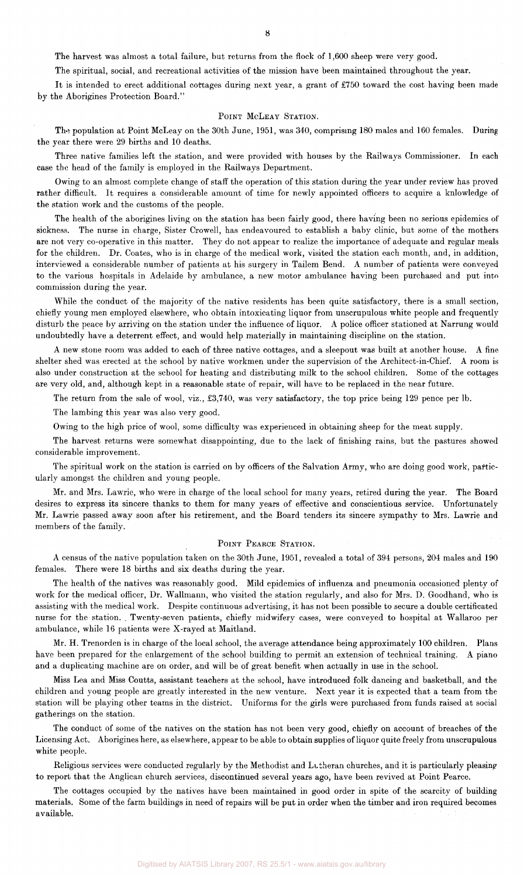The harvest was almost a total failure, but returns from the flock of 1,600 sheep were very good.

The spiritual, social, and recreational activities of the mission have been maintained throughout the year.

It is intended to erect additional cottages during next year, a grant of £750 toward the cost having been made by the Aborigines Protection Board."

#### POINT MCLEAY STATION.

The population at Point McLeay on the 30th June, 1951, was 340, comprising 180 males and 160 females. During the year there were 29 births and 10 deaths.

Three native families left the station, and were provided with houses by the Railways Commissioner. In each case the head of the family is employed in the Railways Department.

Owing to an almost complete change of staff the operation of this station during the year under review has proved rather difficult. It requires a considerable amount of time for newly appointed officers to acquire a knlowledge of the station work and the customs of the people.

The health of the aborigines living on the station has been fairly good, there having been no serious epidemics of sickness. The nurse in charge, Sister Crowell, has endeavoured to establish a baby clinic, but some of the mothers are not very co-operative in this matter. They do not appear to realize the importance of adequate and regular meals for the children. Dr. Coates, who is in charge of the medical work, visited the station each month, and, in addition, interviewed a considerable number of patients at his surgery in Tailem Bend. A number of patients were conveyed to the various hospitals in Adelaide by ambulance, a new motor ambulance having been purchased and put into commission during the year.

While the conduct of the majority of the native residents has been quite satisfactory, there is a small section, chiefly young men employed elsewhere, who obtain intoxicating liquor from unscrupulous white people and frequently disturb the peace by arriving on the station under the influence of liquor. A police officer stationed at Narrung would undoubtedly have a deterrent effect, and would help materially in maintaining discipline on the station.

A new stone room was added to each of three native cottages, and a sleepout was built at another house. A fine shelter shed was erected at the school by native workmen under the supervision of the Architect-in-Chief. A room is also under construction at the school for heating and distributing milk to the school children. Some of the cottages are very old, and, although kept in a reasonable state of repair, will have to be replaced in the near future.

The return from the sale of wool, viz., £3,740, was very satisfactory, the top price being 129 pence per lb.

The lambing this year was also very good.

Owing to the high price of wool, some difficulty was experienced in obtaining sheep for the meat supply.

The harvest returns were somewhat disappointing, due to the lack of finishing rains, but the pastures showed considerable improvement.

The spiritual work on the station is carried on by officers of the Salvation Army, who are doing good work, particularly amongst the children and young people.

Mr. and Mrs. Lawrie, who were in charge of the local school for many years, retired during the year. The Board desires to express its sincere thanks to them for many years of effective and conscientious service. Unfortunately Mr. Lawrie passed away soon after his retirement, and the Board tenders its sincere sympathy to Mrs. Lawrie and members of the family.

#### POINT PEARCE STATION.

A census of the native population taken on the 30th June, 1951, revealed a total of 394 persons, 204 males and 190 females. There were 18 births and six deaths during the year.

The health of the natives was reasonably good. Mild epidemics of influenza and pneumonia occasioned plenty of work for the medical officer, Dr. Wallmann, who visited the station regularly, and also for Mrs. D. Goodhand, who is assisting with the medical work. Despite continuous advertising, it has not been possible to secure a double certificated nurse for the station. . Twenty-seven patients, chiefly midwifery cases, were conveyed to hospital at Wallaroo per ambulance, while 16 patients were X-rayed at Maitland.

Mr. H. Trenorden is in charge of the local school, the average attendance being approximately 100 children. Plans have been prepared for the enlargement of the school building to permit an extension of technical training. A piano and a duplicating machine are on order, and will be of great benefit when actually in use in the school.

Miss Lea and Miss Coutts, assistant teachers at the school, have introduced folk dancing and basketball, and the children and young people are greatly interested in the new venture. Next year it is expected that a team from the station will be playing other teams in the district. Uniforms for the girls were purchased from funds raised at social gatherings on the station.

The conduct of some of the natives on the station has not been very good, chiefly on account of breaches of the Licensing Act. Aborigines here, as elsewhere, appear to be able to obtain supplies of liquor quite freely from unscrupulous white people.

Religious services were conducted regularly by the Methodist and Lutheran churches, and it is particularly pleasing to report that the Anglican church services, discontinued several years ago, have been revived at Point Pearce.

The cottages occupied by the natives have been maintained in good order in spite of the scarcity of building materials. Some of the farm buildings in need of repairs will be put in order when the timber and iron required becomes available.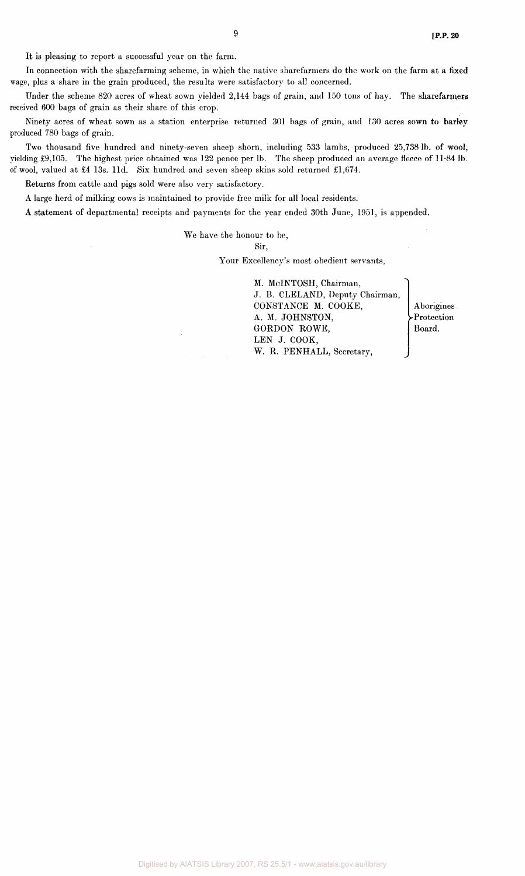It is pleasing to report a successful year on the farm.

In connection with the sharefarming scheme, in which the native sharefarmers do the work on the farm at a fixed wage, plus a share in the grain produced, the results were satisfactory to all concerned.

Under the scheme 820 acres of wheat sown yielded 2,144 bags of grain, and 150 tons of hay. The sharefarmers received 600 bags of grain as their share of this crop.

Ninety acres of wheat sown as a station enterprise returned 301 bags of grain, and 130 acres sown to barley produced 780 bags of grain.

Two thousand five hundred and ninety-seven sheep shorn, including 533 lambs, produced 25,738 lb. of wool, yielding £9,105. The highest price obtained was 122 pence per lb. The sheep produced an average fleece of 11-84 lb. of wool, valued at £4 13s. l1d. Six hundred and seven sheep skins sold returned £1,674.

Returns from cattle and pigs sold were also very satisfactory.

A large herd of milking cows is maintained to provide free milk for all local residents.

A statement of departmental receipts and payments for the year ended 30th June, 1951, is appended.

We have the honour to be,

Sir,

Your Excellency's most obedient servants,

M. McINTOSH, Chairman, J. B. CLELAND, Deputy Chairman, CONSTANCE M. COOKE, A. M. JOHNSTON, GORDON ROWE, LEN J. COOK, W. R. PENHALL, Secretary,

Aborigines Protection Board.